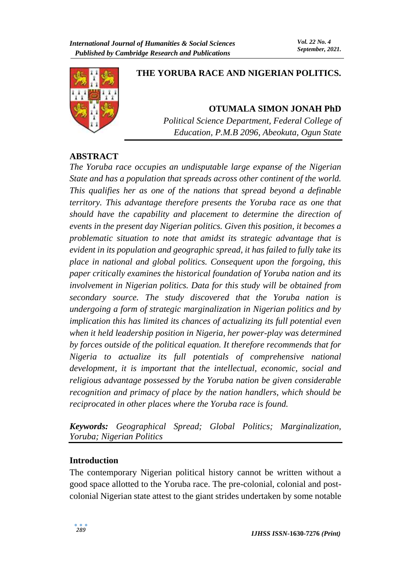

# **THE YORUBA RACE AND NIGERIAN POLITICS.**

**OTUMALA SIMON JONAH PhD** *Political Science Department, Federal College of Education, P.M.B 2096, Abeokuta, Ogun State*

#### **ABSTRACT**

*The Yoruba race occupies an undisputable large expanse of the Nigerian State and has a population that spreads across other continent of the world. This qualifies her as one of the nations that spread beyond a definable territory. This advantage therefore presents the Yoruba race as one that should have the capability and placement to determine the direction of events in the present day Nigerian politics. Given this position, it becomes a problematic situation to note that amidst its strategic advantage that is evident in its population and geographic spread, it has failed to fully take its place in national and global politics. Consequent upon the forgoing, this paper critically examines the historical foundation of Yoruba nation and its involvement in Nigerian politics. Data for this study will be obtained from secondary source. The study discovered that the Yoruba nation is undergoing a form of strategic marginalization in Nigerian politics and by implication this has limited its chances of actualizing its full potential even when it held leadership position in Nigeria, her power-play was determined by forces outside of the political equation. It therefore recommends that for Nigeria to actualize its full potentials of comprehensive national development, it is important that the intellectual, economic, social and religious advantage possessed by the Yoruba nation be given considerable recognition and primacy of place by the nation handlers, which should be reciprocated in other places where the Yoruba race is found.*

*Keywords: Geographical Spread; Global Politics; Marginalization, Yoruba; Nigerian Politics*

## **Introduction**

The contemporary Nigerian political history cannot be written without a good space allotted to the Yoruba race. The pre-colonial, colonial and postcolonial Nigerian state attest to the giant strides undertaken by some notable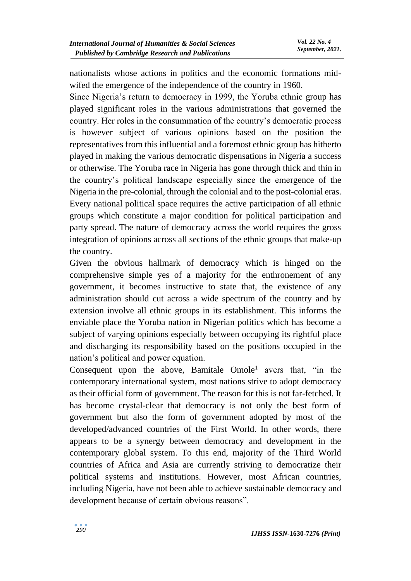nationalists whose actions in politics and the economic formations midwifed the emergence of the independence of the country in 1960.

Since Nigeria's return to democracy in 1999, the Yoruba ethnic group has played significant roles in the various administrations that governed the country. Her roles in the consummation of the country's democratic process is however subject of various opinions based on the position the representatives from this influential and a foremost ethnic group has hitherto played in making the various democratic dispensations in Nigeria a success or otherwise. The Yoruba race in Nigeria has gone through thick and thin in the country's political landscape especially since the emergence of the Nigeria in the pre-colonial, through the colonial and to the post-colonial eras. Every national political space requires the active participation of all ethnic groups which constitute a major condition for political participation and party spread. The nature of democracy across the world requires the gross integration of opinions across all sections of the ethnic groups that make-up the country.

Given the obvious hallmark of democracy which is hinged on the comprehensive simple yes of a majority for the enthronement of any government, it becomes instructive to state that, the existence of any administration should cut across a wide spectrum of the country and by extension involve all ethnic groups in its establishment. This informs the enviable place the Yoruba nation in Nigerian politics which has become a subject of varying opinions especially between occupying its rightful place and discharging its responsibility based on the positions occupied in the nation's political and power equation.

Consequent upon the above, Bamitale  $Omole<sup>1</sup>$  avers that, "in the contemporary international system, most nations strive to adopt democracy as their official form of government. The reason for this is not far-fetched. It has become crystal-clear that democracy is not only the best form of government but also the form of government adopted by most of the developed/advanced countries of the First World. In other words, there appears to be a synergy between democracy and development in the contemporary global system. To this end, majority of the Third World countries of Africa and Asia are currently striving to democratize their political systems and institutions. However, most African countries, including Nigeria, have not been able to achieve sustainable democracy and development because of certain obvious reasons".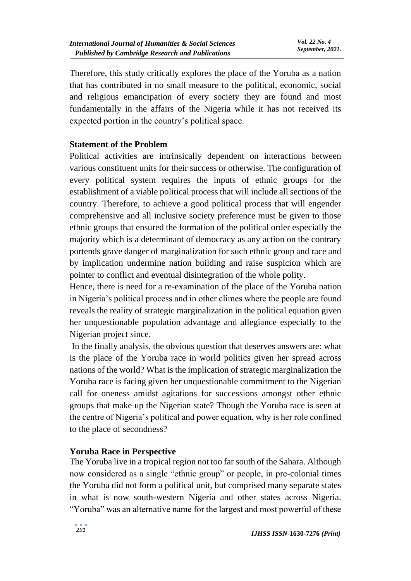Therefore, this study critically explores the place of the Yoruba as a nation that has contributed in no small measure to the political, economic, social and religious emancipation of every society they are found and most fundamentally in the affairs of the Nigeria while it has not received its expected portion in the country's political space.

## **Statement of the Problem**

Political activities are intrinsically dependent on interactions between various constituent units for their success or otherwise. The configuration of every political system requires the inputs of ethnic groups for the establishment of a viable political process that will include all sections of the country. Therefore, to achieve a good political process that will engender comprehensive and all inclusive society preference must be given to those ethnic groups that ensured the formation of the political order especially the majority which is a determinant of democracy as any action on the contrary portends grave danger of marginalization for such ethnic group and race and by implication undermine nation building and raise suspicion which are pointer to conflict and eventual disintegration of the whole polity.

Hence, there is need for a re-examination of the place of the Yoruba nation in Nigeria's political process and in other climes where the people are found reveals the reality of strategic marginalization in the political equation given her unquestionable population advantage and allegiance especially to the Nigerian project since.

In the finally analysis, the obvious question that deserves answers are: what is the place of the Yoruba race in world politics given her spread across nations of the world? What is the implication of strategic marginalization the Yoruba race is facing given her unquestionable commitment to the Nigerian call for oneness amidst agitations for successions amongst other ethnic groups that make up the Nigerian state? Though the Yoruba race is seen at the centre of Nigeria's political and power equation, why is her role confined to the place of secondness?

## **Yoruba Race in Perspective**

The Yoruba live in a tropical region not too far south of the Sahara. Although now considered as a single "ethnic group" or people, in pre-colonial times the Yoruba did not form a political unit, but comprised many separate states in what is now south-western Nigeria and other states across Nigeria. "Yoruba" was an alternative name for the largest and most powerful of these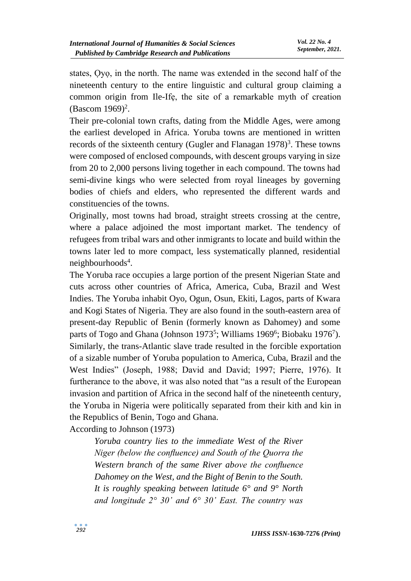states, Ọyọ, in the north. The name was extended in the second half of the nineteenth century to the entire linguistic and cultural group claiming a common origin from Ile-Ifẹ, the site of a remarkable myth of creation  $(Bascom 1969)<sup>2</sup>$ .

Their pre-colonial town crafts, dating from the Middle Ages, were among the earliest developed in Africa. Yoruba towns are mentioned in written records of the sixteenth century (Gugler and Flanagan  $1978$ )<sup>3</sup>. These towns were composed of enclosed compounds, with descent groups varying in size from 20 to 2,000 persons living together in each compound. The towns had semi-divine kings who were selected from royal lineages by governing bodies of chiefs and elders, who represented the different wards and constituencies of the towns.

Originally, most towns had broad, straight streets crossing at the centre, where a palace adjoined the most important market. The tendency of refugees from tribal wars and other inmigrants to locate and build within the towns later led to more compact, less systematically planned, residential neighbourhoods<sup>4</sup>.

The Yoruba race occupies a large portion of the present Nigerian State and cuts across other countries of Africa, America, Cuba, Brazil and West Indies. The Yoruba inhabit Oyo, Ogun, Osun, Ekiti, Lagos, parts of Kwara and Kogi States of Nigeria. They are also found in the south-eastern area of present-day Republic of Benin (formerly known as Dahomey) and some parts of Togo and Ghana (Johnson 1973<sup>5</sup>; Williams 1969<sup>6</sup>; Biobaku 1976<sup>7</sup>). Similarly, the trans-Atlantic slave trade resulted in the forcible exportation of a sizable number of Yoruba population to America, Cuba, Brazil and the West Indies" (Joseph, 1988; David and David; 1997; Pierre, 1976). It furtherance to the above, it was also noted that "as a result of the European invasion and partition of Africa in the second half of the nineteenth century, the Yoruba in Nigeria were politically separated from their kith and kin in the Republics of Benin, Togo and Ghana.

According to Johnson (1973)

*Yoruba country lies to the immediate West of the River Niger (below the confluence) and South of the Quorra the Western branch of the same River above the confluence Dahomey on the West, and the Bight of Benin to the South. It is roughly speaking between latitude 6° and 9° North and longitude 2° 30' and 6° 30' East. The country was*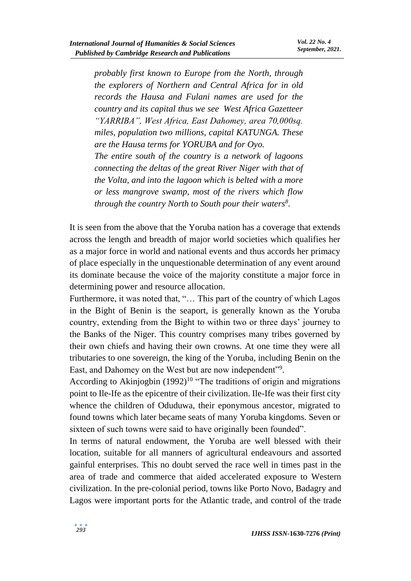*probably first known to Europe from the North, through the explorers of Northern and Central Africa for in old records the Hausa and Fulani names are used for the country and its capital thus we see West Africa Gazetteer "YARRIBA", West Africa, East Dahomey, area 70,000sq. miles, population two millions, capital KATUNGA. These are the Hausa terms for YORUBA and for Oyo. The entire south of the country is a network of lagoons connecting the deltas of the great River Niger with that of the Volta, and into the lagoon which is belted with a more or less mangrove swamp, most of the rivers which flow through the country North to South pour their waters<sup>8</sup> .* 

It is seen from the above that the Yoruba nation has a coverage that extends across the length and breadth of major world societies which qualifies her as a major force in world and national events and thus accords her primacy of place especially in the unquestionable determination of any event around its dominate because the voice of the majority constitute a major force in determining power and resource allocation.

Furthermore, it was noted that, "… This part of the country of which Lagos in the Bight of Benin is the seaport, is generally known as the Yoruba country, extending from the Bight to within two or three days' journey to the Banks of the Niger. This country comprises many tribes governed by their own chiefs and having their own crowns. At one time they were all tributaries to one sovereign, the king of the Yoruba, including Benin on the East, and Dahomey on the West but are now independent"9.

According to Akinjogbin  $(1992)^{10}$  "The traditions of origin and migrations point to Ile-Ife as the epicentre of their civilization. Ile-Ife was their first city whence the children of Oduduwa, their eponymous ancestor, migrated to found towns which later became seats of many Yoruba kingdoms. Seven or sixteen of such towns were said to have originally been founded".

In terms of natural endowment, the Yoruba are well blessed with their location, suitable for all manners of agricultural endeavours and assorted gainful enterprises. This no doubt served the race well in times past in the area of trade and commerce that aided accelerated exposure to Western civilization. In the pre-colonial period, towns like Porto Novo, Badagry and Lagos were important ports for the Atlantic trade, and control of the trade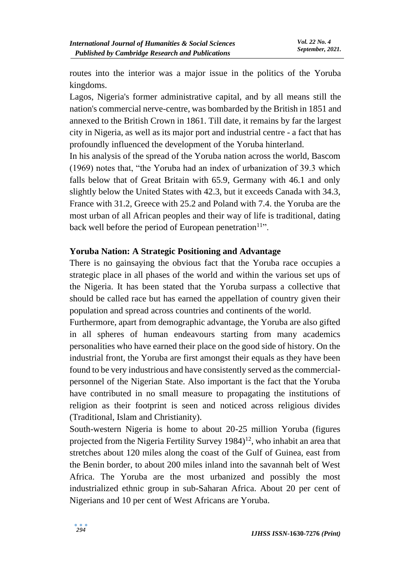routes into the interior was a major issue in the politics of the Yoruba kingdoms.

Lagos, Nigeria's former administrative capital, and by all means still the nation's commercial nerve-centre, was bombarded by the British in 1851 and annexed to the British Crown in 1861. Till date, it remains by far the largest city in Nigeria, as well as its major port and industrial centre - a fact that has profoundly influenced the development of the Yoruba hinterland.

In his analysis of the spread of the Yoruba nation across the world, Bascom (1969) notes that, "the Yoruba had an index of urbanization of 39.3 which falls below that of Great Britain with 65.9, Germany with 46.1 and only slightly below the United States with 42.3, but it exceeds Canada with 34.3, France with 31.2, Greece with 25.2 and Poland with 7.4. the Yoruba are the most urban of all African peoples and their way of life is traditional, dating back well before the period of European penetration<sup>11</sup>".

## **Yoruba Nation: A Strategic Positioning and Advantage**

There is no gainsaying the obvious fact that the Yoruba race occupies a strategic place in all phases of the world and within the various set ups of the Nigeria. It has been stated that the Yoruba surpass a collective that should be called race but has earned the appellation of country given their population and spread across countries and continents of the world.

Furthermore, apart from demographic advantage, the Yoruba are also gifted in all spheres of human endeavours starting from many academics personalities who have earned their place on the good side of history. On the industrial front, the Yoruba are first amongst their equals as they have been found to be very industrious and have consistently served as the commercialpersonnel of the Nigerian State. Also important is the fact that the Yoruba have contributed in no small measure to propagating the institutions of religion as their footprint is seen and noticed across religious divides (Traditional, Islam and Christianity).

South-western Nigeria is home to about 20-25 million Yoruba (figures projected from the Nigeria Fertility Survey  $1984$ <sup> $12$ </sup>, who inhabit an area that stretches about 120 miles along the coast of the Gulf of Guinea, east from the Benin border, to about 200 miles inland into the savannah belt of West Africa. The Yoruba are the most urbanized and possibly the most industrialized ethnic group in sub-Saharan Africa. About 20 per cent of Nigerians and 10 per cent of West Africans are Yoruba.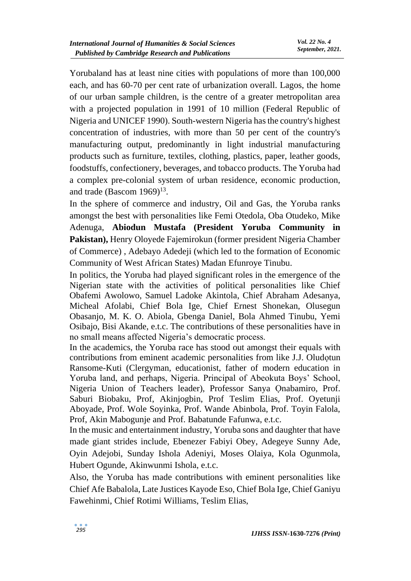Yorubaland has at least nine cities with populations of more than 100,000 each, and has 60-70 per cent rate of urbanization overall. Lagos, the home of our urban sample children, is the centre of a greater metropolitan area with a projected population in 1991 of 10 million (Federal Republic of Nigeria and UNICEF 1990). South-western Nigeria has the country's highest concentration of industries, with more than 50 per cent of the country's manufacturing output, predominantly in light industrial manufacturing products such as furniture, textiles, clothing, plastics, paper, leather goods, foodstuffs, confectionery, beverages, and tobacco products. The Yoruba had a complex pre-colonial system of urban residence, economic production, and trade (Bascom  $1969$ )<sup>13</sup>.

In the sphere of commerce and industry, Oil and Gas, the Yoruba ranks amongst the best with personalities like Femi Otedola, Oba Otudeko, Mike Adenuga, **Abiodun Mustafa (President Yoruba Community in Pakistan),** Henry Oloyede Fajemirokun (former president Nigeria Chamber of Commerce) , Adebayo Adedeji (which led to the formation of Economic Community of West African States) Madan Efunroye Tinubu.

In politics, the Yoruba had played significant roles in the emergence of the Nigerian state with the activities of political personalities like Chief Obafemi Awolowo, Samuel Ladoke Akintola, Chief Abraham Adesanya, Micheal Afolabi, Chief Bola Ige, Chief Ernest Shonekan, Olusegun Obasanjo, M. K. O. Abiola, Gbenga Daniel, Bola Ahmed Tinubu, Yemi Osibajo, Bisi Akande, e.t.c. The contributions of these personalities have in no small means affected Nigeria's democratic process.

In the academics, the Yoruba race has stood out amongst their equals with contributions from eminent academic personalities from like J.J. Oludọtun Ransome-Kuti (Clergyman, educationist, father of modern education in Yoruba land, and perhaps, Nigeria. Principal of Abeokuta Boys' School, Nigeria Union of Teachers leader), Professor Sanya Onabamiro, Prof. Saburi Biobaku, Prof, Akinjogbin, Prof Teslim Elias, Prof. Oyetunji Aboyade, Prof. Wole Soyinka, Prof. Wande Abinbola, Prof. Toyin Falola, Prof, Akin Mabogunje and Prof. Babatunde Fafunwa, e.t.c.

In the music and entertainment industry, Yoruba sons and daughter that have made giant strides include, Ebenezer Fabiyi Obey, Adegeye Sunny Ade, Oyin Adejobi, Sunday Ishola Adeniyi, Moses Olaiya, Kola Ogunmola, Hubert Ogunde, Akinwunmi Ishola, e.t.c.

Also, the Yoruba has made contributions with eminent personalities like Chief Afe Babalola, Late Justices Kayode Eso, Chief Bola Ige, Chief Ganiyu Fawehinmi, Chief Rotimi Williams, Teslim Elias,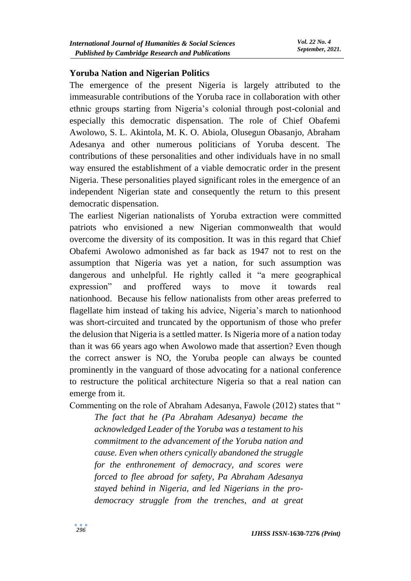#### **Yoruba Nation and Nigerian Politics**

The emergence of the present Nigeria is largely attributed to the immeasurable contributions of the Yoruba race in collaboration with other ethnic groups starting from Nigeria's colonial through post-colonial and especially this democratic dispensation. The role of Chief Obafemi Awolowo, S. L. Akintola, M. K. O. Abiola, Olusegun Obasanjo, Abraham Adesanya and other numerous politicians of Yoruba descent. The contributions of these personalities and other individuals have in no small way ensured the establishment of a viable democratic order in the present Nigeria. These personalities played significant roles in the emergence of an independent Nigerian state and consequently the return to this present democratic dispensation.

The earliest Nigerian nationalists of Yoruba extraction were committed patriots who envisioned a new Nigerian commonwealth that would overcome the diversity of its composition. It was in this regard that Chief Obafemi Awolowo admonished as far back as 1947 not to rest on the assumption that Nigeria was yet a nation, for such assumption was dangerous and unhelpful. He rightly called it "a mere geographical expression" and proffered ways to move it towards real nationhood. Because his fellow nationalists from other areas preferred to flagellate him instead of taking his advice, Nigeria's march to nationhood was short-circuited and truncated by the opportunism of those who prefer the delusion that Nigeria is a settled matter. Is Nigeria more of a nation today than it was 66 years ago when Awolowo made that assertion? Even though the correct answer is NO, the Yoruba people can always be counted prominently in the vanguard of those advocating for a national conference to restructure the political architecture Nigeria so that a real nation can emerge from it.

Commenting on the role of Abraham Adesanya, Fawole (2012) states that "

*The fact that he (Pa Abraham Adesanya) became the acknowledged Leader of the Yoruba was a testament to his commitment to the advancement of the Yoruba nation and cause. Even when others cynically abandoned the struggle for the enthronement of democracy, and scores were forced to flee abroad for safety, Pa Abraham Adesanya stayed behind in Nigeria, and led Nigerians in the prodemocracy struggle from the trenches, and at great*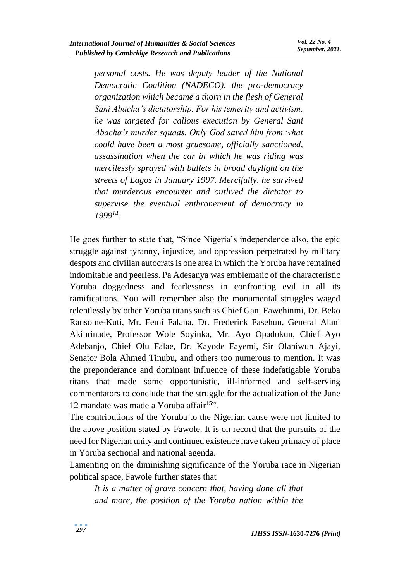*personal costs. He was deputy leader of the National Democratic Coalition (NADECO), the pro-democracy organization which became a thorn in the flesh of General Sani Abacha's dictatorship. For his temerity and activism, he was targeted for callous execution by General Sani Abacha's murder squads. Only God saved him from what could have been a most gruesome, officially sanctioned, assassination when the car in which he was riding was mercilessly sprayed with bullets in broad daylight on the streets of Lagos in January 1997. Mercifully, he survived that murderous encounter and outlived the dictator to supervise the eventual enthronement of democracy in 1999<sup>14</sup> .*

He goes further to state that, "Since Nigeria's independence also, the epic struggle against tyranny, injustice, and oppression perpetrated by military despots and civilian autocrats is one area in which the Yoruba have remained indomitable and peerless. Pa Adesanya was emblematic of the characteristic Yoruba doggedness and fearlessness in confronting evil in all its ramifications. You will remember also the monumental struggles waged relentlessly by other Yoruba titans such as Chief Gani Fawehinmi, Dr. Beko Ransome-Kuti, Mr. Femi Falana, Dr. Frederick Fasehun, General Alani Akinrinade, Professor Wole Soyinka, Mr. Ayo Opadokun, Chief Ayo Adebanjo, Chief Olu Falae, Dr. Kayode Fayemi, Sir Olaniwun Ajayi, Senator Bola Ahmed Tinubu, and others too numerous to mention. It was the preponderance and dominant influence of these indefatigable Yoruba titans that made some opportunistic, ill-informed and self-serving commentators to conclude that the struggle for the actualization of the June 12 mandate was made a Yoruba affair<sup>15</sup>".

The contributions of the Yoruba to the Nigerian cause were not limited to the above position stated by Fawole. It is on record that the pursuits of the need for Nigerian unity and continued existence have taken primacy of place in Yoruba sectional and national agenda.

Lamenting on the diminishing significance of the Yoruba race in Nigerian political space, Fawole further states that

*It is a matter of grave concern that, having done all that and more, the position of the Yoruba nation within the*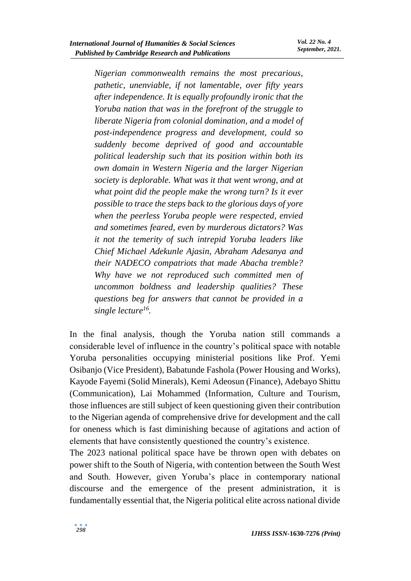*Nigerian commonwealth remains the most precarious, pathetic, unenviable, if not lamentable, over fifty years after independence. It is equally profoundly ironic that the Yoruba nation that was in the forefront of the struggle to liberate Nigeria from colonial domination, and a model of post-independence progress and development, could so suddenly become deprived of good and accountable political leadership such that its position within both its own domain in Western Nigeria and the larger Nigerian society is deplorable. What was it that went wrong, and at what point did the people make the wrong turn? Is it ever possible to trace the steps back to the glorious days of yore when the peerless Yoruba people were respected, envied and sometimes feared, even by murderous dictators? Was it not the temerity of such intrepid Yoruba leaders like Chief Michael Adekunle Ajasin, Abraham Adesanya and their NADECO compatriots that made Abacha tremble? Why have we not reproduced such committed men of uncommon boldness and leadership qualities? These questions beg for answers that cannot be provided in a single lecture<sup>16</sup> .*

In the final analysis, though the Yoruba nation still commands a considerable level of influence in the country's political space with notable Yoruba personalities occupying ministerial positions like Prof. Yemi Osibanjo (Vice President), Babatunde Fashola (Power Housing and Works), Kayode Fayemi (Solid Minerals), Kemi Adeosun (Finance), Adebayo Shittu (Communication), Lai Mohammed (Information, Culture and Tourism, those influences are still subject of keen questioning given their contribution to the Nigerian agenda of comprehensive drive for development and the call for oneness which is fast diminishing because of agitations and action of elements that have consistently questioned the country's existence.

The 2023 national political space have be thrown open with debates on power shift to the South of Nigeria, with contention between the South West and South. However, given Yoruba's place in contemporary national discourse and the emergence of the present administration, it is fundamentally essential that, the Nigeria political elite across national divide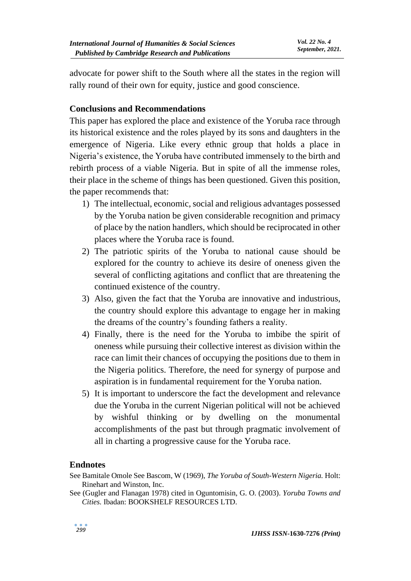advocate for power shift to the South where all the states in the region will rally round of their own for equity, justice and good conscience.

# **Conclusions and Recommendations**

This paper has explored the place and existence of the Yoruba race through its historical existence and the roles played by its sons and daughters in the emergence of Nigeria. Like every ethnic group that holds a place in Nigeria's existence, the Yoruba have contributed immensely to the birth and rebirth process of a viable Nigeria. But in spite of all the immense roles, their place in the scheme of things has been questioned. Given this position, the paper recommends that:

- 1) The intellectual, economic, social and religious advantages possessed by the Yoruba nation be given considerable recognition and primacy of place by the nation handlers, which should be reciprocated in other places where the Yoruba race is found.
- 2) The patriotic spirits of the Yoruba to national cause should be explored for the country to achieve its desire of oneness given the several of conflicting agitations and conflict that are threatening the continued existence of the country.
- 3) Also, given the fact that the Yoruba are innovative and industrious, the country should explore this advantage to engage her in making the dreams of the country's founding fathers a reality.
- 4) Finally, there is the need for the Yoruba to imbibe the spirit of oneness while pursuing their collective interest as division within the race can limit their chances of occupying the positions due to them in the Nigeria politics. Therefore, the need for synergy of purpose and aspiration is in fundamental requirement for the Yoruba nation.
- 5) It is important to underscore the fact the development and relevance due the Yoruba in the current Nigerian political will not be achieved by wishful thinking or by dwelling on the monumental accomplishments of the past but through pragmatic involvement of all in charting a progressive cause for the Yoruba race.

#### **Endnotes**

See (Gugler and Flanagan 1978) cited in Oguntomisin, G. O. (2003). *Yoruba Towns and Cities.* Ibadan: BOOKSHELF RESOURCES LTD.

See Bamitale Omole See Bascom, W (1969), *The Yoruba of South-Western Nigeria.* Holt: Rinehart and Winston, Inc.